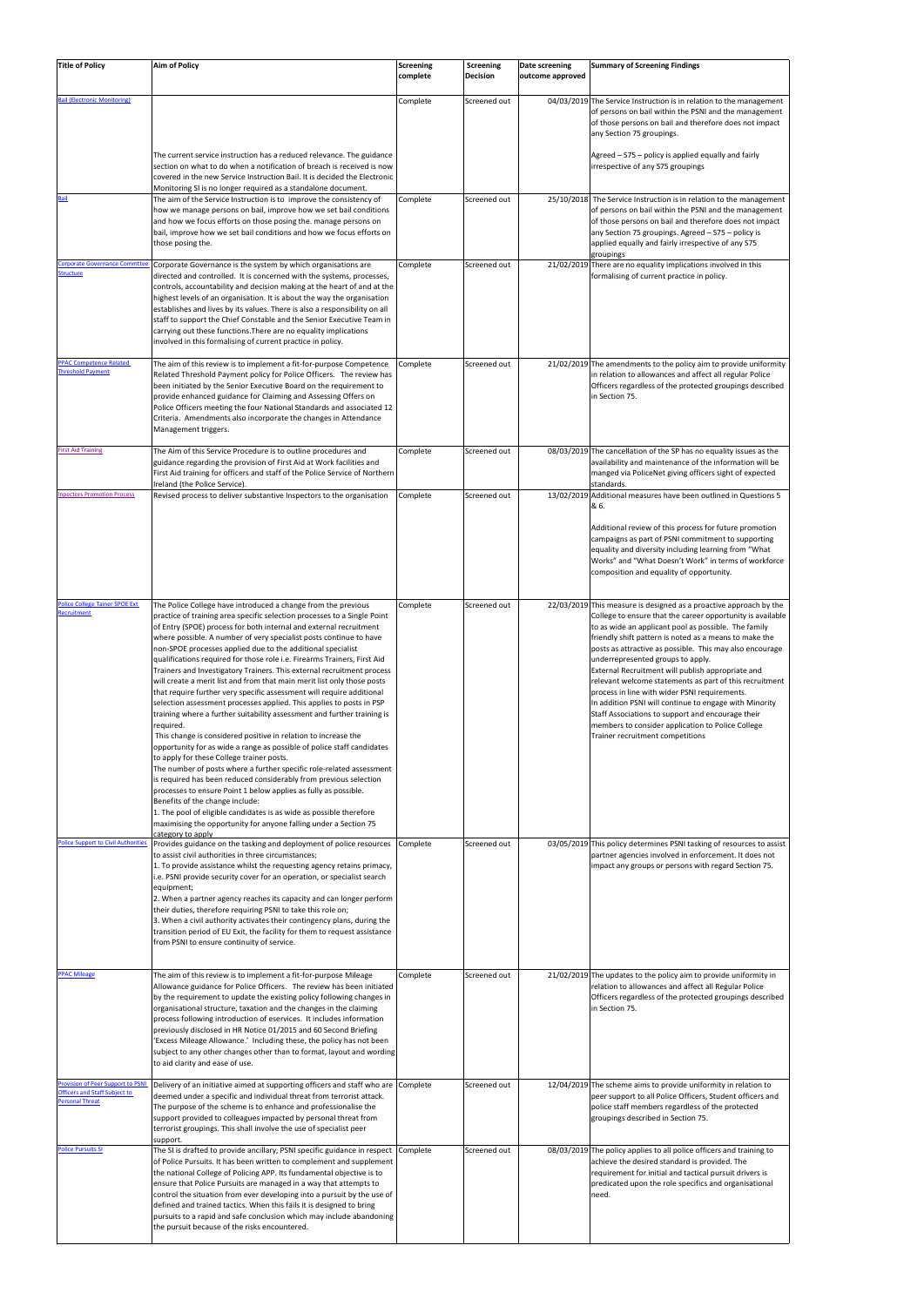| <b>Title of Policy</b>                                                                                    | <b>Aim of Policy</b>                                                                                                                                                                                                                                                                                                                                                                                                                                                                                                                                                                                                                                                                                                                                                                                                                                                                                                                                                                                                                                                                                                                                                                                                                                                                                                                                                                                                                       | Screening<br>complete | Screening<br>Decision | Date screening<br>outcome approved | <b>Summary of Screening Findings</b>                                                                                                                                                                                                                                                                                                                                                                                                                                                                                                                                                                                                                                                                                         |
|-----------------------------------------------------------------------------------------------------------|--------------------------------------------------------------------------------------------------------------------------------------------------------------------------------------------------------------------------------------------------------------------------------------------------------------------------------------------------------------------------------------------------------------------------------------------------------------------------------------------------------------------------------------------------------------------------------------------------------------------------------------------------------------------------------------------------------------------------------------------------------------------------------------------------------------------------------------------------------------------------------------------------------------------------------------------------------------------------------------------------------------------------------------------------------------------------------------------------------------------------------------------------------------------------------------------------------------------------------------------------------------------------------------------------------------------------------------------------------------------------------------------------------------------------------------------|-----------------------|-----------------------|------------------------------------|------------------------------------------------------------------------------------------------------------------------------------------------------------------------------------------------------------------------------------------------------------------------------------------------------------------------------------------------------------------------------------------------------------------------------------------------------------------------------------------------------------------------------------------------------------------------------------------------------------------------------------------------------------------------------------------------------------------------------|
| ail (Electronic Monitoring)                                                                               | The current service instruction has a reduced relevance. The guidance<br>section on what to do when a notification of breach is received is now<br>covered in the new Service Instruction Bail. It is decided the Electronic<br>Monitoring SI is no longer required as a standalone document.                                                                                                                                                                                                                                                                                                                                                                                                                                                                                                                                                                                                                                                                                                                                                                                                                                                                                                                                                                                                                                                                                                                                              | Complete              | Screened out          |                                    | 04/03/2019 The Service Instruction is in relation to the management<br>of persons on bail within the PSNI and the management<br>of those persons on bail and therefore does not impact<br>any Section 75 groupings.<br>Agreed – S75 – policy is applied equally and fairly<br>irrespective of any S75 groupings                                                                                                                                                                                                                                                                                                                                                                                                              |
|                                                                                                           | The aim of the Service Instruction is to improve the consistency of<br>how we manage persons on bail, improve how we set bail conditions<br>and how we focus efforts on those posing the. manage persons on<br>bail, improve how we set bail conditions and how we focus efforts on<br>those posing the.                                                                                                                                                                                                                                                                                                                                                                                                                                                                                                                                                                                                                                                                                                                                                                                                                                                                                                                                                                                                                                                                                                                                   | Complete              | Screened out          |                                    | 25/10/2018 The Service Instruction is in relation to the management<br>of persons on bail within the PSNI and the management<br>of those persons on bail and therefore does not impact<br>any Section 75 groupings. Agreed - S75 - policy is<br>applied equally and fairly irrespective of any S75<br>groupings                                                                                                                                                                                                                                                                                                                                                                                                              |
| Corporate Governance Commtte<br><b>Structure</b>                                                          | Corporate Governance is the system by which organisations are<br>directed and controlled. It is concerned with the systems, processes,<br>controls, accountability and decision making at the heart of and at the<br>highest levels of an organisation. It is about the way the organisation<br>establishes and lives by its values. There is also a responsibility on all<br>staff to support the Chief Constable and the Senior Executive Team in<br>carrying out these functions. There are no equality implications<br>involved in this formalising of current practice in policy.                                                                                                                                                                                                                                                                                                                                                                                                                                                                                                                                                                                                                                                                                                                                                                                                                                                     | Complete              | Screened out          |                                    | 21/02/2019 There are no equality implications involved in this<br>formalising of current practice in policy.                                                                                                                                                                                                                                                                                                                                                                                                                                                                                                                                                                                                                 |
| <b>PPAC Competence Related</b><br><b>Threshold Payment</b>                                                | The aim of this review is to implement a fit-for-purpose Competence<br>Related Threshold Payment policy for Police Officers. The review has<br>been initiated by the Senior Executive Board on the requirement to<br>provide enhanced guidance for Claiming and Assessing Offers on<br>Police Officers meeting the four National Standards and associated 12<br>Criteria. Amendments also incorporate the changes in Attendance<br>Management triggers.                                                                                                                                                                                                                                                                                                                                                                                                                                                                                                                                                                                                                                                                                                                                                                                                                                                                                                                                                                                    | Complete              | Screened out          |                                    | 21/02/2019 The amendments to the policy aim to provide uniformity<br>in relation to allowances and affect all regular Police<br>Officers regardless of the protected groupings described<br>in Section 75.                                                                                                                                                                                                                                                                                                                                                                                                                                                                                                                   |
| irst Aid Training                                                                                         | The Aim of this Service Procedure is to outline procedures and<br>guidance regarding the provision of First Aid at Work facilities and<br>First Aid training for officers and staff of the Police Service of Northern<br>Ireland (the Police Service).                                                                                                                                                                                                                                                                                                                                                                                                                                                                                                                                                                                                                                                                                                                                                                                                                                                                                                                                                                                                                                                                                                                                                                                     | Complete              | Screened out          |                                    | 08/03/2019 The cancellation of the SP has no equality issues as the<br>availability and maintenance of the information will be<br>manged via PoliceNet giving officers sight of expected<br>standards.                                                                                                                                                                                                                                                                                                                                                                                                                                                                                                                       |
| <b>Inpectors Promotion Process</b>                                                                        | Revised process to deliver substantive Inspectors to the organisation                                                                                                                                                                                                                                                                                                                                                                                                                                                                                                                                                                                                                                                                                                                                                                                                                                                                                                                                                                                                                                                                                                                                                                                                                                                                                                                                                                      | Complete              | Screened out          |                                    | 13/02/2019 Additional measures have been outlined in Questions 5<br>& 6.<br>Additional review of this process for future promotion<br>campaigns as part of PSNI commitment to supporting<br>equality and diversity including learning from "What<br>Works" and "What Doesn't Work" in terms of workforce<br>composition and equality of opportunity.                                                                                                                                                                                                                                                                                                                                                                         |
| Police College Tainer SPOE Ext<br>Recruitment                                                             | The Police College have introduced a change from the previous<br>practice of training area specific selection processes to a Single Point<br>of Entry (SPOE) process for both internal and external recruitment<br>where possible. A number of very specialist posts continue to have<br>non-SPOE processes applied due to the additional specialist<br>qualifications required for those role i.e. Firearms Trainers, First Aid<br>Trainers and Investigatory Trainers. This external recruitment process<br>will create a merit list and from that main merit list only those posts<br>that require further very specific assessment will require additional<br>selection assessment processes applied. This applies to posts in PSP<br>training where a further suitability assessment and further training is<br>required.<br>This change is considered positive in relation to increase the<br>opportunity for as wide a range as possible of police staff candidates<br>to apply for these College trainer posts.<br>The number of posts where a further specific role-related assessment<br>is required has been reduced considerably from previous selection<br>processes to ensure Point 1 below applies as fully as possible.<br>Benefits of the change include:<br>1. The pool of eligible candidates is as wide as possible therefore<br>maximising the opportunity for anyone falling under a Section 75<br>category to apply | Complete              | Screened out          |                                    | 22/03/2019 This measure is designed as a proactive approach by the<br>College to ensure that the career opportunity is available<br>to as wide an applicant pool as possible. The family<br>friendly shift pattern is noted as a means to make the<br>posts as attractive as possible. This may also encourage<br>underrepresented groups to apply.<br>External Recruitment will publish appropriate and<br>relevant welcome statements as part of this recruitment<br>process in line with wider PSNI requirements.<br>In addition PSNI will continue to engage with Minority<br>Staff Associations to support and encourage their<br>members to consider application to Police College<br>Trainer recruitment competitions |
| Police Support to Civil Authorities                                                                       | Provides guidance on the tasking and deployment of police resources<br>to assist civil authorities in three circumstances;<br>1. To provide assistance whilst the requesting agency retains primacy,<br>i.e. PSNI provide security cover for an operation, or specialist search<br>equipment;<br>2. When a partner agency reaches its capacity and can longer perform<br>their duties, therefore requiring PSNI to take this role on;<br>3. When a civil authority activates their contingency plans, during the<br>transition period of EU Exit, the facility for them to request assistance<br>from PSNI to ensure continuity of service.                                                                                                                                                                                                                                                                                                                                                                                                                                                                                                                                                                                                                                                                                                                                                                                                | Complete              | Screened out          |                                    | 03/05/2019 This policy determines PSNI tasking of resources to assist<br>partner agencies involved in enforcement. It does not<br>impact any groups or persons with regard Section 75.                                                                                                                                                                                                                                                                                                                                                                                                                                                                                                                                       |
| <b>PPAC Mileage</b>                                                                                       | The aim of this review is to implement a fit-for-purpose Mileage<br>Allowance guidance for Police Officers. The review has been initiated<br>by the requirement to update the existing policy following changes in<br>organisational structure, taxation and the changes in the claiming<br>process following introduction of eservices. It includes information<br>previously disclosed in HR Notice 01/2015 and 60 Second Briefing<br>'Excess Mileage Allowance.' Including these, the policy has not been<br>subject to any other changes other than to format, layout and wording<br>to aid clarity and ease of use.                                                                                                                                                                                                                                                                                                                                                                                                                                                                                                                                                                                                                                                                                                                                                                                                                   | Complete              | Screened out          |                                    | 21/02/2019 The updates to the policy aim to provide uniformity in<br>relation to allowances and affect all Regular Police<br>Officers regardless of the protected groupings described<br>in Section 75.                                                                                                                                                                                                                                                                                                                                                                                                                                                                                                                      |
| <b>Provision of Peer Support to PSN</b><br><b>Officers and Staff Subject to</b><br><b>Personal Threat</b> | Delivery of an initiative aimed at supporting officers and staff who are Complete<br>deemed under a specific and individual threat from terrorist attack.<br>The purpose of the scheme is to enhance and professionalise the<br>support provided to colleagues impacted by personal threat from<br>terrorist groupings. This shall involve the use of specialist peer<br>support.                                                                                                                                                                                                                                                                                                                                                                                                                                                                                                                                                                                                                                                                                                                                                                                                                                                                                                                                                                                                                                                          |                       | Screened out          |                                    | 12/04/2019 The scheme aims to provide uniformity in relation to<br>peer support to all Police Officers, Student officers and<br>police staff members regardless of the protected<br>groupings described in Section 75.                                                                                                                                                                                                                                                                                                                                                                                                                                                                                                       |
| <b>Olice Pursuits SI</b>                                                                                  | The SI is drafted to provide ancillary, PSNI specific guidance in respect<br>of Police Pursuits. It has been written to complement and supplement<br>the national College of Policing APP. Its fundamental objective is to<br>ensure that Police Pursuits are managed in a way that attempts to<br>control the situation from ever developing into a pursuit by the use of<br>defined and trained tactics. When this fails it is designed to bring<br>pursuits to a rapid and safe conclusion which may include abandoning<br>the pursuit because of the risks encountered.                                                                                                                                                                                                                                                                                                                                                                                                                                                                                                                                                                                                                                                                                                                                                                                                                                                                | Complete              | Screened out          |                                    | 08/03/2019 The policy applies to all police officers and training to<br>achieve the desired standard is provided. The<br>requirement for initial and tactical pursuit drivers is<br>predicated upon the role specifics and organisational<br>need.                                                                                                                                                                                                                                                                                                                                                                                                                                                                           |